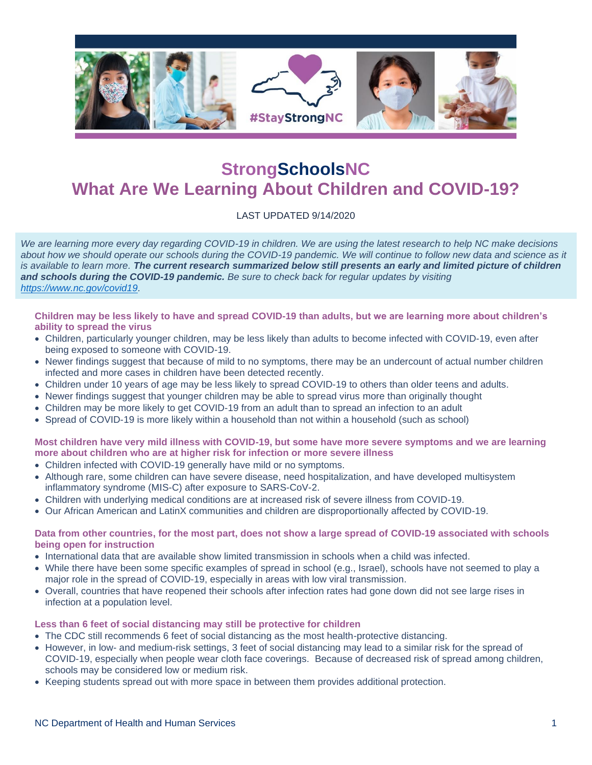

# **StrongSchoolsNC What Are We Learning About Children and COVID-19?**

LAST UPDATED 9/14/2020

*We are learning more every day regarding COVID-19 in children. We are using the latest research to help NC make decisions about how we should operate our schools during the COVID-19 pandemic. We will continue to follow new data and science as it is available to learn more. The current research summarized below still presents an early and limited picture of children and schools during the COVID-19 pandemic. Be sure to check back for regular updates by visiting [https://www.nc.gov/covid19.](https://www.nc.gov/covid19)*

**Children may be less likely to have and spread COVID-19 than adults, but we are learning more about children's ability to spread the virus**

- Children, particularly younger children, may be less likely than adults to become infected with COVID-19, even after being exposed to someone with COVID-19.
- Newer findings suggest that because of mild to no symptoms, there may be an undercount of actual number children infected and more cases in children have been detected recently.
- Children under 10 years of age may be less likely to spread COVID-19 to others than older teens and adults.
- Newer findings suggest that younger children may be able to spread virus more than originally thought
- Children may be more likely to get COVID-19 from an adult than to spread an infection to an adult
- Spread of COVID-19 is more likely within a household than not within a household (such as school)

**Most children have very mild illness with COVID-19, but some have more severe symptoms and we are learning more about children who are at higher risk for infection or more severe illness**

- Children infected with COVID-19 generally have mild or no symptoms.
- Although rare, some children can have severe disease, need hospitalization, and have developed multisystem inflammatory syndrome (MIS-C) after exposure to SARS-CoV-2.
- Children with underlying medical conditions are at increased risk of severe illness from COVID-19.
- Our African American and LatinX communities and children are disproportionally affected by COVID-19.

#### **Data from other countries, for the most part, does not show a large spread of COVID-19 associated with schools being open for instruction**

- International data that are available show limited transmission in schools when a child was infected.
- While there have been some specific examples of spread in school (e.g., Israel), schools have not seemed to play a major role in the spread of COVID-19, especially in areas with low viral transmission.
- Overall, countries that have reopened their schools after infection rates had gone down did not see large rises in infection at a population level.

#### **Less than 6 feet of social distancing may still be protective for children**

- The CDC still recommends 6 feet of social distancing as the most health-protective distancing.
- However, in low- and medium-risk settings, 3 feet of social distancing may lead to a similar risk for the spread of COVID-19, especially when people wear cloth face coverings. Because of decreased risk of spread among children, schools may be considered low or medium risk.
- Keeping students spread out with more space in between them provides additional protection.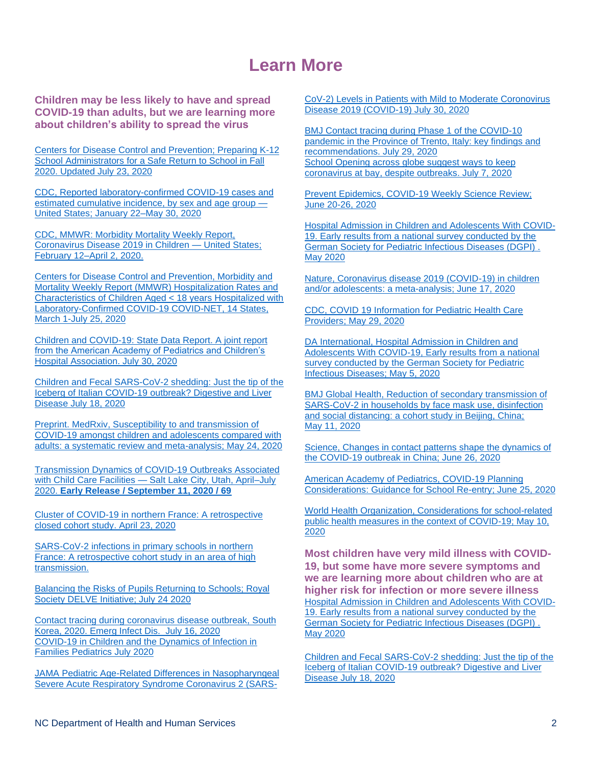## **Learn More**

**Children may be less likely to have and spread COVID-19 than adults, but we are learning more about children's ability to spread the virus**

[Centers for Disease Control and Prevention; Preparing K-12](https://www.cdc.gov/coronavirus/2019-ncov/community/schools-childcare/prepare-safe-return.html)  [School Administrators for a Safe Return to School in Fall](https://www.cdc.gov/coronavirus/2019-ncov/community/schools-childcare/prepare-safe-return.html)  [2020. Updated July 23, 2020](https://www.cdc.gov/coronavirus/2019-ncov/community/schools-childcare/prepare-safe-return.html)

[CDC, Reported laboratory-confirmed COVID-19 cases and](http://www.cdc.gov/mmwr/volumes/69/wr/mm6924e2.htm%20-%20T1_down)  [estimated cumulative incidence, by sex and age group —](http://www.cdc.gov/mmwr/volumes/69/wr/mm6924e2.htm%20-%20T1_down) [United States; January 22–May 30, 2020](http://www.cdc.gov/mmwr/volumes/69/wr/mm6924e2.htm%20-%20T1_down)

[CDC, MMWR: Morbidity Mortality Weekly Report,](http://www.cdc.gov/mmwr/volumes/69/wr/mm6914e4.htm)  [Coronavirus Disease 2019 in Children —](http://www.cdc.gov/mmwr/volumes/69/wr/mm6914e4.htm) United States; [February 12–April 2, 2020.](http://www.cdc.gov/mmwr/volumes/69/wr/mm6914e4.htm)

[Centers for Disease Control and Prevention, Morbidity and](https://www.cdc.gov/mmwr/volumes/69/wr/mm6932e3.htm?s_cid=mm6932e3_w#contribAff)  [Mortality Weekly Report \(MMWR\) Hospitalization Rates and](https://www.cdc.gov/mmwr/volumes/69/wr/mm6932e3.htm?s_cid=mm6932e3_w#contribAff)  [Characteristics of Children Aged < 18 years Hospitalized with](https://www.cdc.gov/mmwr/volumes/69/wr/mm6932e3.htm?s_cid=mm6932e3_w#contribAff)  [Laboratory-Confirmed COVID-19 COVID-NET, 14 States,](https://www.cdc.gov/mmwr/volumes/69/wr/mm6932e3.htm?s_cid=mm6932e3_w#contribAff)  [March 1-July 25, 2020](https://www.cdc.gov/mmwr/volumes/69/wr/mm6932e3.htm?s_cid=mm6932e3_w#contribAff)

[Children and COVID-19: State Data Report. A joint report](https://downloads.aap.org/AAP/PDF/AAP%20and%20CHA%20-%20Children%20and%20COVID-19%20State%20Data%20Report%207.30.20%20FINAL.pdf?referringSource=articleShare)  [from the American Academy of Pediatrics and Children's](https://downloads.aap.org/AAP/PDF/AAP%20and%20CHA%20-%20Children%20and%20COVID-19%20State%20Data%20Report%207.30.20%20FINAL.pdf?referringSource=articleShare)  [Hospital Association. July 30, 2020](https://downloads.aap.org/AAP/PDF/AAP%20and%20CHA%20-%20Children%20and%20COVID-19%20State%20Data%20Report%207.30.20%20FINAL.pdf?referringSource=articleShare)

[Children and Fecal SARS-CoV-2 shedding: Just the tip of the](https://www.dldjournalonline.com/article/S1590-8658(20)30324-8/fulltext) [Iceberg of Italian COVID-19 outbreak? Digestive and Liver](https://www.dldjournalonline.com/article/S1590-8658(20)30324-8/fulltext)  [Disease July 18, 2020](https://www.dldjournalonline.com/article/S1590-8658(20)30324-8/fulltext)

[Preprint. MedRxiv, Susceptibility to and transmission of](http://www.medrxiv.org/content/10.1101/2020.05.20.20108126v1.full.pdf)  [COVID-19 amongst children and adolescents compared with](http://www.medrxiv.org/content/10.1101/2020.05.20.20108126v1.full.pdf)  [adults: a systematic review and meta-analysis; May 24, 2020](http://www.medrxiv.org/content/10.1101/2020.05.20.20108126v1.full.pdf)

[Transmission Dynamics of COVID-19 Outbreaks Associated](file:///H:/public%20health/corona%20virus/articles/children/Transmission%20Dynamics%20of%20COVID-19%20Outbreaks%20Associated%20with%20Child%20Care%20Facilities%20â%20Salt%20Lake%20City,%20Utah,%20AprilâJuly%202020%20_%20MMWR.html)  with Child Care Facilities — [Salt Lake City, Utah, April–July](file:///H:/public%20health/corona%20virus/articles/children/Transmission%20Dynamics%20of%20COVID-19%20Outbreaks%20Associated%20with%20Child%20Care%20Facilities%20â%20Salt%20Lake%20City,%20Utah,%20AprilâJuly%202020%20_%20MMWR.html)  2020. **Early Release [/ September 11, 2020 / 69](file:///H:/public%20health/corona%20virus/articles/children/Transmission%20Dynamics%20of%20COVID-19%20Outbreaks%20Associated%20with%20Child%20Care%20Facilities%20â%20Salt%20Lake%20City,%20Utah,%20AprilâJuly%202020%20_%20MMWR.html)**

[Cluster of COVID-19 in northern France: A retrospective](https://www.medrxiv.org/content/10.1101/2020.04.18.20071134v1)  [closed cohort study. April 23, 2020](https://www.medrxiv.org/content/10.1101/2020.04.18.20071134v1)

[SARS-CoV-2 infections in primary schools in northern](https://www.medrxiv.org/content/10.1101/2020.06.25.20140178v2)  [France: A retrospective cohort study in an area of high](https://www.medrxiv.org/content/10.1101/2020.06.25.20140178v2)  [transmission.](https://www.medrxiv.org/content/10.1101/2020.06.25.20140178v2)

[Balancing the Risks of Pupils Returning to Schools; Royal](https://rs-delve.github.io/reports/2020/07/24/balancing-the-risk-of-pupils-returning-to-schools.html)  [Society DELVE Initiative; July 24 2020](https://rs-delve.github.io/reports/2020/07/24/balancing-the-risk-of-pupils-returning-to-schools.html)

[Contact tracing during coronavirus disease outbreak, South](https://wwwnc.cdc.gov/eid/article/26/10/20-1315_article)  [Korea, 2020. Emerg Infect Dis.](https://wwwnc.cdc.gov/eid/article/26/10/20-1315_article) July 16, 2020 [COVID-19 in Children and the Dynamics of Infection in](https://pediatrics.aappublications.org/content/early/2020/07/08/peds.2020-1576)  [Families](https://pediatrics.aappublications.org/content/early/2020/07/08/peds.2020-1576) Pediatrics July 2020

[JAMA Pediatric Age-Related Differences in Nasopharyngeal](https://jamanetwork.com/journals/jamapediatrics/fullarticle/2768952?utm_source=undefined&utm_campaign=content-shareicons&utm_content=article_engagement&utm_medium=social&utm_term=073020#.XyNyImjnx-k.email)  [Severe Acute Respiratory Syndrome Coronavirus 2 \(SARS-](https://jamanetwork.com/journals/jamapediatrics/fullarticle/2768952?utm_source=undefined&utm_campaign=content-shareicons&utm_content=article_engagement&utm_medium=social&utm_term=073020#.XyNyImjnx-k.email)

[CoV-2\) Levels in Patients with Mild to Moderate Coronovirus](https://jamanetwork.com/journals/jamapediatrics/fullarticle/2768952?utm_source=undefined&utm_campaign=content-shareicons&utm_content=article_engagement&utm_medium=social&utm_term=073020#.XyNyImjnx-k.email)  [Disease 2019 \(COVID-19\) July 30, 2020](https://jamanetwork.com/journals/jamapediatrics/fullarticle/2768952?utm_source=undefined&utm_campaign=content-shareicons&utm_content=article_engagement&utm_medium=social&utm_term=073020#.XyNyImjnx-k.email)

[BMJ Contact tracing during Phase 1 of the COVID-10](https://www.medrxiv.org/content/10.1101/2020.07.16.20127357v1)  [pandemic in the Province of Trento, Italy: key findings and](https://www.medrxiv.org/content/10.1101/2020.07.16.20127357v1)  [recommendations. July 29, 2020](https://www.medrxiv.org/content/10.1101/2020.07.16.20127357v1) [School Opening across globe suggest ways to keep](https://www.sciencemag.org/news/2020/07/school-openings-across-globe-suggest-ways-keep-coronavirus-bay-despite-outbreaks)  [coronavirus at bay, despite outbreaks. July 7, 2020](https://www.sciencemag.org/news/2020/07/school-openings-across-globe-suggest-ways-keep-coronavirus-bay-despite-outbreaks)

[Prevent Epidemics, COVID-19 Weekly Science Review;](https://preventepidemics.org/covid19/science/weekly-science-review/june-20-26-2020/)  [June 20-26, 2020](https://preventepidemics.org/covid19/science/weekly-science-review/june-20-26-2020/)

[Hospital Admission in Children and Adolescents With COVID-](https://www.aerzteblatt.de/int/archive/article/214080)[19. Early results from a national survey conducted by the](https://www.aerzteblatt.de/int/archive/article/214080)  [German Society for Pediatric Infectious Diseases \(DGPI\) .](https://www.aerzteblatt.de/int/archive/article/214080)  [May 2020](https://www.aerzteblatt.de/int/archive/article/214080)

[Nature, Coronavirus disease 2019 \(COVID-19\) in children](http://www.nature.com/articles/s41390-020-1015-2)  [and/or adolescents: a meta-analysis; June 17, 2020](http://www.nature.com/articles/s41390-020-1015-2)

[CDC, COVID 19 Information for Pediatric Health Care](http://www.cdc.gov/coronavirus/2019-ncov/hcp/pediatric-hcp.html)  [Providers; May 29, 2020](http://www.cdc.gov/coronavirus/2019-ncov/hcp/pediatric-hcp.html)

[DA International, Hospital Admission in Children and](http://www.aerzteblatt.de/int/archive/article/214080)  [Adolescents With COVID-19, Early results from a national](http://www.aerzteblatt.de/int/archive/article/214080)  [survey conducted by the German Society for Pediatric](http://www.aerzteblatt.de/int/archive/article/214080)  [Infectious Diseases; May 5, 2020](http://www.aerzteblatt.de/int/archive/article/214080)

[BMJ Global Health, Reduction of secondary transmission of](https://gh.bmj.com/content/bmjgh/5/5/e002794.full.pdf)  [SARS-CoV-2 in households by face mask](https://gh.bmj.com/content/bmjgh/5/5/e002794.full.pdf) use, disinfection [and social distancing: a cohort study in Beijing, China;](https://gh.bmj.com/content/bmjgh/5/5/e002794.full.pdf)  [May 11, 2020](https://gh.bmj.com/content/bmjgh/5/5/e002794.full.pdf)

[Science, Changes in contact patterns shape the dynamics of](https://science.sciencemag.org/content/368/6498/1481)  [the COVID-19 outbreak in China; June 26, 2020](https://science.sciencemag.org/content/368/6498/1481)

[American Academy of Pediatrics, COVID-19 Planning](https://services.aap.org/en/pages/2019-novel-coronavirus-covid-19-infections/clinical-guidance/covid-19-planning-considerations-return-to-in-person-education-in-schools/)  [Considerations: Guidance for School Re-entry; June 25, 2020](https://services.aap.org/en/pages/2019-novel-coronavirus-covid-19-infections/clinical-guidance/covid-19-planning-considerations-return-to-in-person-education-in-schools/)

[World Health Organization, Considerations for school-related](http://www.who.int/publications/i/item/considerations-for-school-related-public-health-measures-in-the-context-of-covid-19)  [public health measures in the context of COVID-19; May 10,](http://www.who.int/publications/i/item/considerations-for-school-related-public-health-measures-in-the-context-of-covid-19)  [2020](http://www.who.int/publications/i/item/considerations-for-school-related-public-health-measures-in-the-context-of-covid-19)

**Most children have very mild illness with COVID-19, but some have more severe symptoms and we are learning more about children who are at higher risk for infection or more severe illness** [Hospital Admission in Children and Adolescents With COVID-](https://www.aerzteblatt.de/int/archive/article/214080)[19. Early results from a national survey conducted by the](https://www.aerzteblatt.de/int/archive/article/214080)  [German Society for Pediatric Infectious Diseases \(DGPI\) .](https://www.aerzteblatt.de/int/archive/article/214080)  [May 2020](https://www.aerzteblatt.de/int/archive/article/214080)

[Children and Fecal SARS-CoV-2 shedding: Just the tip of the](https://www.dldjournalonline.com/article/S1590-8658(20)30324-8/fulltext) [Iceberg of Italian COVID-19 outbreak? Digestive and Liver](https://www.dldjournalonline.com/article/S1590-8658(20)30324-8/fulltext)  [Disease July 18, 2020](https://www.dldjournalonline.com/article/S1590-8658(20)30324-8/fulltext)